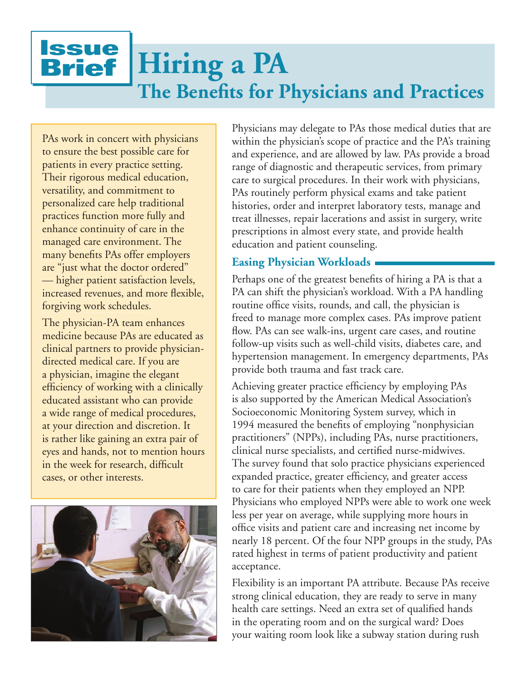# **Issue** Brief **Hiring a PA The Benefits for Physicians and Practices**

PAs work in concert with physicians to ensure the best possible care for patients in every practice setting. Their rigorous medical education, versatility, and commitment to personalized care help traditional practices function more fully and enhance continuity of care in the managed care environment. The many benefits PAs offer employers are "just what the doctor ordered" — higher patient satisfaction levels, increased revenues, and more flexible, forgiving work schedules.

The physician-PA team enhances medicine because PAs are educated as clinical partners to provide physiciandirected medical care. If you are a physician, imagine the elegant efficiency of working with a clinically educated assistant who can provide a wide range of medical procedures, at your direction and discretion. It is rather like gaining an extra pair of eyes and hands, not to mention hours in the week for research, difficult cases, or other interests.



Physicians may delegate to PAs those medical duties that are within the physician's scope of practice and the PA's training and experience, and are allowed by law. PAs provide a broad range of diagnostic and therapeutic services, from primary care to surgical procedures. In their work with physicians, PAs routinely perform physical exams and take patient histories, order and interpret laboratory tests, manage and treat illnesses, repair lacerations and assist in surgery, write prescriptions in almost every state, and provide health education and patient counseling.

## **Easing Physician Workloads**

Perhaps one of the greatest benefits of hiring a PA is that a PA can shift the physician's workload. With a PA handling routine office visits, rounds, and call, the physician is freed to manage more complex cases. PAs improve patient flow. PAs can see walk-ins, urgent care cases, and routine follow-up visits such as well-child visits, diabetes care, and hypertension management. In emergency departments, PAs provide both trauma and fast track care.

Achieving greater practice efficiency by employing PAs is also supported by the American Medical Association's Socioeconomic Monitoring System survey, which in 1994 measured the benefits of employing "nonphysician practitioners" (NPPs), including PAs, nurse practitioners, clinical nurse specialists, and certified nurse-midwives. The survey found that solo practice physicians experienced expanded practice, greater efficiency, and greater access to care for their patients when they employed an NPP. Physicians who employed NPPs were able to work one week less per year on average, while supplying more hours in office visits and patient care and increasing net income by nearly 18 percent. Of the four NPP groups in the study, PAs rated highest in terms of patient productivity and patient acceptance.

Flexibility is an important PA attribute. Because PAs receive strong clinical education, they are ready to serve in many health care settings. Need an extra set of qualified hands in the operating room and on the surgical ward? Does your waiting room look like a subway station during rush